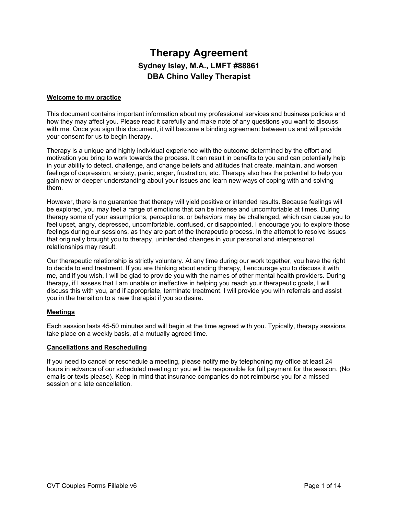# **Therapy Agreement Sydney Isley, M.A., LMFT #88861 DBA Chino Valley Therapist**

### **Welcome to my practice**

This document contains important information about my professional services and business policies and how they may affect you. Please read it carefully and make note of any questions you want to discuss with me. Once you sign this document, it will become a binding agreement between us and will provide your consent for us to begin therapy.

Therapy is a unique and highly individual experience with the outcome determined by the effort and motivation you bring to work towards the process. It can result in benefits to you and can potentially help in your ability to detect, challenge, and change beliefs and attitudes that create, maintain, and worsen feelings of depression, anxiety, panic, anger, frustration, etc. Therapy also has the potential to help you gain new or deeper understanding about your issues and learn new ways of coping with and solving them.

However, there is no guarantee that therapy will yield positive or intended results. Because feelings will be explored, you may feel a range of emotions that can be intense and uncomfortable at times. During therapy some of your assumptions, perceptions, or behaviors may be challenged, which can cause you to feel upset, angry, depressed, uncomfortable, confused, or disappointed. I encourage you to explore those feelings during our sessions, as they are part of the therapeutic process. In the attempt to resolve issues that originally brought you to therapy, unintended changes in your personal and interpersonal relationships may result.

Our therapeutic relationship is strictly voluntary. At any time during our work together, you have the right to decide to end treatment. If you are thinking about ending therapy, I encourage you to discuss it with me, and if you wish, I will be glad to provide you with the names of other mental health providers. During therapy, if I assess that I am unable or ineffective in helping you reach your therapeutic goals, I will discuss this with you, and if appropriate, terminate treatment. I will provide you with referrals and assist you in the transition to a new therapist if you so desire.

### **Meetings**

Each session lasts 45-50 minutes and will begin at the time agreed with you. Typically, therapy sessions take place on a weekly basis, at a mutually agreed time.

#### **Cancellations and Rescheduling**

If you need to cancel or reschedule a meeting, please notify me by telephoning my office at least 24 hours in advance of our scheduled meeting or you will be responsible for full payment for the session. (No emails or texts please). Keep in mind that insurance companies do not reimburse you for a missed session or a late cancellation.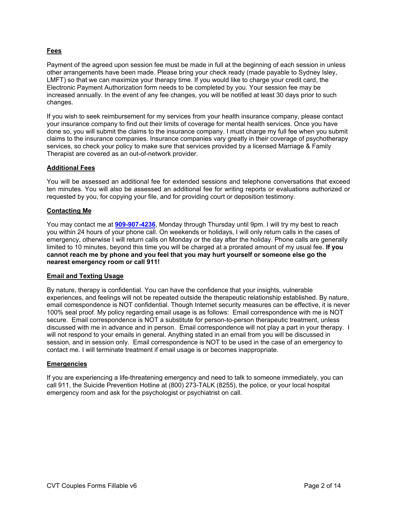## **Fees**

Payment of the agreed upon session fee must be made in full at the beginning of each session in unless other arrangements have been made. Please bring your check ready (made payable to Sydney Isley, LMFT) so that we can maximize your therapy time. If you would like to charge your credit card, the Electronic Payment Authorization form needs to be completed by you. Your session fee may be increased annually. In the event of any fee changes, you will be notified at least 30 days prior to such changes.

If you wish to seek reimbursement for my services from your health insurance company, please contact your insurance company to find out their limits of coverage for mental health services. Once you have done so, you will submit the claims to the insurance company. I must charge my full fee when you submit claims to the insurance companies. Insurance companies vary greatly in their coverage of psychotherapy services, so check your policy to make sure that services provided by a licensed Marriage & Family Therapist are covered as an out-of-network provider.

## **Additional Fees**

You will be assessed an additional fee for extended sessions and telephone conversations that exceed ten minutes. You will also be assessed an additional fee for writing reports or evaluations authorized or requested by you, for copying your file, and for providing court or deposition testimony.

## **Contacting Me**

You may contact me at **909-907-4236**, Monday through Thursday until 9pm. I will try my best to reach you within 24 hours of your phone call. On weekends or holidays, I will only return calls in the cases of emergency, otherwise I will return calls on Monday or the day after the holiday. Phone calls are generally limited to 10 minutes, beyond this time you will be charged at a prorated amount of my usual fee. **If you cannot reach me by phone and you feel that you may hurt yourself or someone else go the nearest emergency room or call 911!**

### **Email and Texting Usage**

By nature, therapy is confidential. You can have the confidence that your insights, vulnerable experiences, and feelings will not be repeated outside the therapeutic relationship established. By nature, email correspondence is NOT confidential. Though Internet security measures can be effective, it is never 100% seal proof. My policy regarding email usage is as follows: Email correspondence with me is NOT secure. Email correspondence is NOT a substitute for person-to-person therapeutic treatment, unless discussed with me in advance and in person. Email correspondence will not play a part in your therapy. I will not respond to your emails in general. Anything stated in an email from you will be discussed in session, and in session only. Email correspondence is NOT to be used in the case of an emergency to contact me. I will terminate treatment if email usage is or becomes inappropriate.

### **Emergencies**

If you are experiencing a life-threatening emergency and need to talk to someone immediately, you can call 911, the Suicide Prevention Hotline at (800) 273-TALK (8255), the police, or your local hospital emergency room and ask for the psychologist or psychiatrist on call.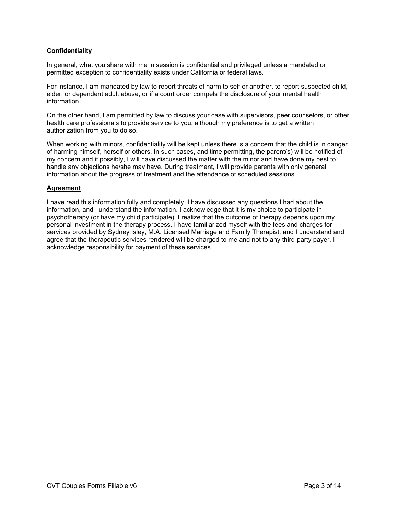## **Confidentiality**

In general, what you share with me in session is confidential and privileged unless a mandated or permitted exception to confidentiality exists under California or federal laws.

For instance, I am mandated by law to report threats of harm to self or another, to report suspected child, elder, or dependent adult abuse, or if a court order compels the disclosure of your mental health information.

On the other hand, I am permitted by law to discuss your case with supervisors, peer counselors, or other health care professionals to provide service to you, although my preference is to get a written authorization from you to do so.

When working with minors, confidentiality will be kept unless there is a concern that the child is in danger of harming himself, herself or others. In such cases, and time permitting, the parent(s) will be notified of my concern and if possibly, I will have discussed the matter with the minor and have done my best to handle any objections he/she may have. During treatment, I will provide parents with only general information about the progress of treatment and the attendance of scheduled sessions.

### **Agreement**

I have read this information fully and completely, I have discussed any questions I had about the information, and I understand the information. I acknowledge that it is my choice to participate in psychotherapy (or have my child participate). I realize that the outcome of therapy depends upon my personal investment in the therapy process. I have familiarized myself with the fees and charges for services provided by Sydney Isley, M.A. Licensed Marriage and Family Therapist, and I understand and agree that the therapeutic services rendered will be charged to me and not to any third-party payer. I acknowledge responsibility for payment of these services.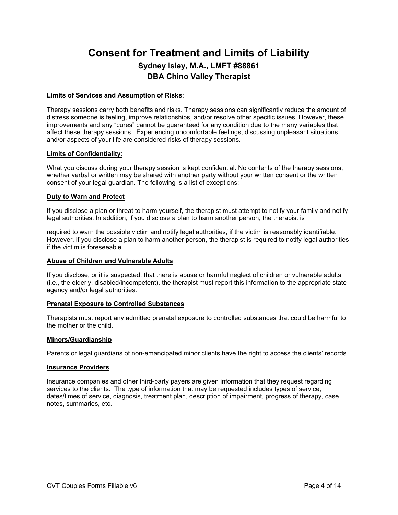# **Consent for Treatment and Limits of Liability Sydney Isley, M.A., LMFT #88861 DBA Chino Valley Therapist**

### **Limits of Services and Assumption of Risks**:

Therapy sessions carry both benefits and risks. Therapy sessions can significantly reduce the amount of distress someone is feeling, improve relationships, and/or resolve other specific issues. However, these improvements and any "cures" cannot be guaranteed for any condition due to the many variables that affect these therapy sessions. Experiencing uncomfortable feelings, discussing unpleasant situations and/or aspects of your life are considered risks of therapy sessions.

### **Limits of Confidentiality**:

What you discuss during your therapy session is kept confidential. No contents of the therapy sessions, whether verbal or written may be shared with another party without your written consent or the written consent of your legal guardian. The following is a list of exceptions:

## **Duty to Warn and Protect**

If you disclose a plan or threat to harm yourself, the therapist must attempt to notify your family and notify legal authorities. In addition, if you disclose a plan to harm another person, the therapist is

required to warn the possible victim and notify legal authorities, if the victim is reasonably identifiable. However, if you disclose a plan to harm another person, the therapist is required to notify legal authorities if the victim is foreseeable.

### **Abuse of Children and Vulnerable Adults**

If you disclose, or it is suspected, that there is abuse or harmful neglect of children or vulnerable adults (i.e., the elderly, disabled/incompetent), the therapist must report this information to the appropriate state agency and/or legal authorities.

### **Prenatal Exposure to Controlled Substances**

Therapists must report any admitted prenatal exposure to controlled substances that could be harmful to the mother or the child.

### **Minors/Guardianship**

Parents or legal guardians of non-emancipated minor clients have the right to access the clients' records.

### **Insurance Providers**

Insurance companies and other third-party payers are given information that they request regarding services to the clients. The type of information that may be requested includes types of service, dates/times of service, diagnosis, treatment plan, description of impairment, progress of therapy, case notes, summaries, etc.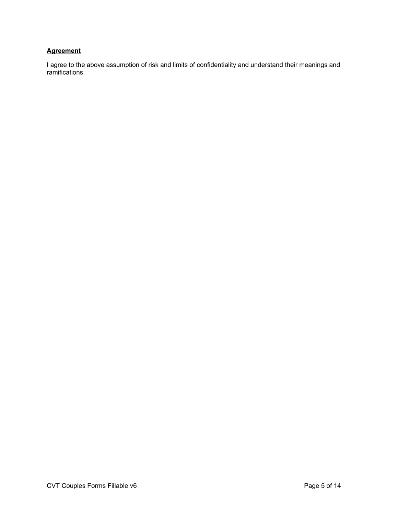# **Agreement**

I agree to the above assumption of risk and limits of confidentiality and understand their meanings and ramifications.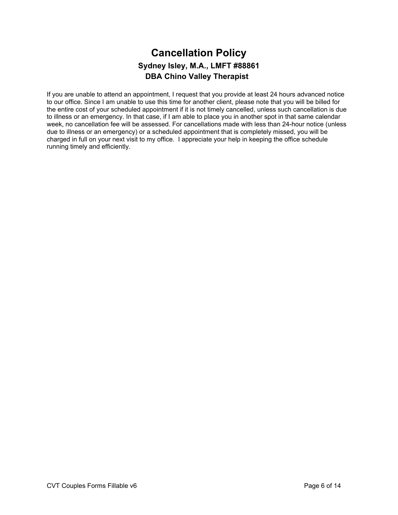# **Cancellation Policy Sydney Isley, M.A., LMFT #88861 DBA Chino Valley Therapist**

If you are unable to attend an appointment, I request that you provide at least 24 hours advanced notice to our office. Since I am unable to use this time for another client, please note that you will be billed for the entire cost of your scheduled appointment if it is not timely cancelled, unless such cancellation is due to illness or an emergency. In that case, if I am able to place you in another spot in that same calendar week, no cancellation fee will be assessed. For cancellations made with less than 24-hour notice (unless due to illness or an emergency) or a scheduled appointment that is completely missed, you will be charged in full on your next visit to my office. I appreciate your help in keeping the office schedule running timely and efficiently.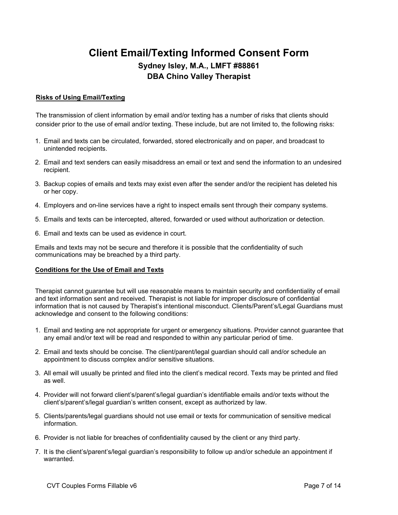# **Client Email/Texting Informed Consent Form Sydney Isley, M.A., LMFT #88861 DBA Chino Valley Therapist**

# **Risks of Using Email/Texting**

The transmission of client information by email and/or texting has a number of risks that clients should consider prior to the use of email and/or texting. These include, but are not limited to, the following risks:

- 1. Email and texts can be circulated, forwarded, stored electronically and on paper, and broadcast to unintended recipients.
- 2. Email and text senders can easily misaddress an email or text and send the information to an undesired recipient.
- 3. Backup copies of emails and texts may exist even after the sender and/or the recipient has deleted his or her copy.
- 4. Employers and on-line services have a right to inspect emails sent through their company systems.
- 5. Emails and texts can be intercepted, altered, forwarded or used without authorization or detection.
- 6. Email and texts can be used as evidence in court.

Emails and texts may not be secure and therefore it is possible that the confidentiality of such communications may be breached by a third party.

# **Conditions for the Use of Email and Texts**

Therapist cannot guarantee but will use reasonable means to maintain security and confidentiality of email and text information sent and received. Therapist is not liable for improper disclosure of confidential information that is not caused by Therapist's intentional misconduct. Clients/Parent's/Legal Guardians must acknowledge and consent to the following conditions:

- 1. Email and texting are not appropriate for urgent or emergency situations. Provider cannot guarantee that any email and/or text will be read and responded to within any particular period of time.
- 2. Email and texts should be concise. The client/parent/legal guardian should call and/or schedule an appointment to discuss complex and/or sensitive situations.
- 3. All email will usually be printed and filed into the client's medical record. Texts may be printed and filed as well.
- 4. Provider will not forward client's/parent's/legal guardian's identifiable emails and/or texts without the client's/parent's/legal guardian's written consent, except as authorized by law.
- 5. Clients/parents/legal guardians should not use email or texts for communication of sensitive medical information.
- 6. Provider is not liable for breaches of confidentiality caused by the client or any third party.
- 7. It is the client's/parent's/legal guardian's responsibility to follow up and/or schedule an appointment if warranted.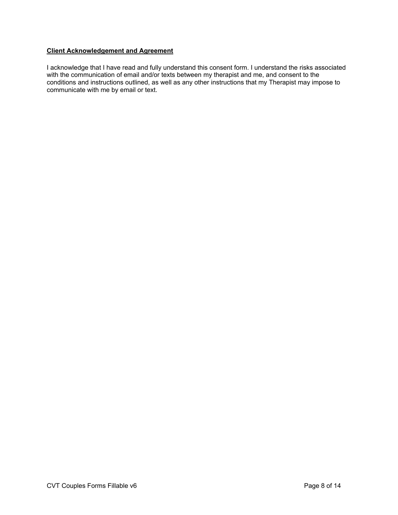## **Client Acknowledgement and Agreement**

I acknowledge that I have read and fully understand this consent form. I understand the risks associated with the communication of email and/or texts between my therapist and me, and consent to the conditions and instructions outlined, as well as any other instructions that my Therapist may impose to communicate with me by email or text.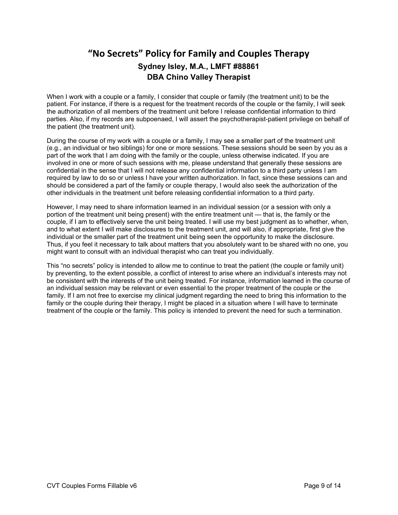# **"No Secrets" Policy for Family and Couples Therapy Sydney Isley, M.A., LMFT #88861 DBA Chino Valley Therapist**

When I work with a couple or a family, I consider that couple or family (the treatment unit) to be the patient. For instance, if there is a request for the treatment records of the couple or the family, I will seek the authorization of all members of the treatment unit before I release confidential information to third parties. Also, if my records are subpoenaed, I will assert the psychotherapist-patient privilege on behalf of the patient (the treatment unit).

During the course of my work with a couple or a family, I may see a smaller part of the treatment unit (e.g., an individual or two siblings) for one or more sessions. These sessions should be seen by you as a part of the work that I am doing with the family or the couple, unless otherwise indicated. If you are involved in one or more of such sessions with me, please understand that generally these sessions are confidential in the sense that I will not release any confidential information to a third party unless I am required by law to do so or unless I have your written authorization. In fact, since these sessions can and should be considered a part of the family or couple therapy, I would also seek the authorization of the other individuals in the treatment unit before releasing confidential information to a third party.

However, I may need to share information learned in an individual session (or a session with only a portion of the treatment unit being present) with the entire treatment unit — that is, the family or the couple, if I am to effectively serve the unit being treated. I will use my best judgment as to whether, when, and to what extent I will make disclosures to the treatment unit, and will also, if appropriate, first give the individual or the smaller part of the treatment unit being seen the opportunity to make the disclosure. Thus, if you feel it necessary to talk about matters that you absolutely want to be shared with no one, you might want to consult with an individual therapist who can treat you individually.

This "no secrets" policy is intended to allow me to continue to treat the patient (the couple or family unit) by preventing, to the extent possible, a conflict of interest to arise where an individual's interests may not be consistent with the interests of the unit being treated. For instance, information learned in the course of an individual session may be relevant or even essential to the proper treatment of the couple or the family. If I am not free to exercise my clinical judgment regarding the need to bring this information to the family or the couple during their therapy, I might be placed in a situation where I will have to terminate treatment of the couple or the family. This policy is intended to prevent the need for such a termination.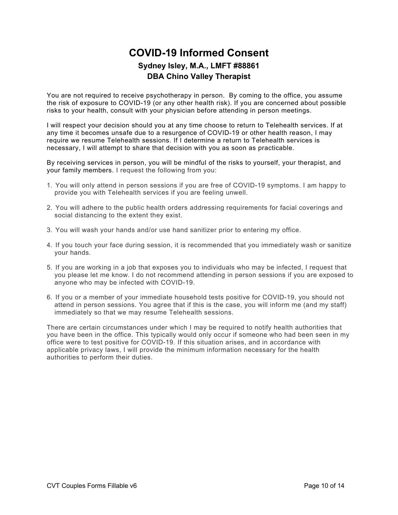# **COVID-19 Informed Consent Sydney Isley, M.A., LMFT #88861 DBA Chino Valley Therapist**

You are not required to receive psychotherapy in person. By coming to the office, you assume the risk of exposure to COVID-19 (or any other health risk). If you are concerned about possible risks to your health, consult with your physician before attending in person meetings.

I will respect your decision should you at any time choose to return to Telehealth services. If at any time it becomes unsafe due to a resurgence of COVID-19 or other health reason, I may require we resume Telehealth sessions. If I determine a return to Telehealth services is necessary, I will attempt to share that decision with you as soon as practicable.

By receiving services in person, you will be mindful of the risks to yourself, your therapist, and your family members. I request the following from you:

- 1. You will only attend in person sessions if you are free of COVID-19 symptoms. I am happy to provide you with Telehealth services if you are feeling unwell.
- 2. You will adhere to the public health orders addressing requirements for facial coverings and social distancing to the extent they exist.
- 3. You will wash your hands and/or use hand sanitizer prior to entering my office.
- 4. If you touch your face during session, it is recommended that you immediately wash or sanitize your hands.
- 5. If you are working in a job that exposes you to individuals who may be infected, I request that you please let me know. I do not recommend attending in person sessions if you are exposed to anyone who may be infected with COVID-19.
- 6. If you or a member of your immediate household tests positive for COVID-19, you should not attend in person sessions. You agree that if this is the case, you will inform me (and my staff) immediately so that we may resume Telehealth sessions.

There are certain circumstances under which I may be required to notify health authorities that you have been in the office. This typically would only occur if someone who had been seen in my office were to test positive for COVID-19. If this situation arises, and in accordance with applicable privacy laws, I will provide the minimum information necessary for the health authorities to perform their duties.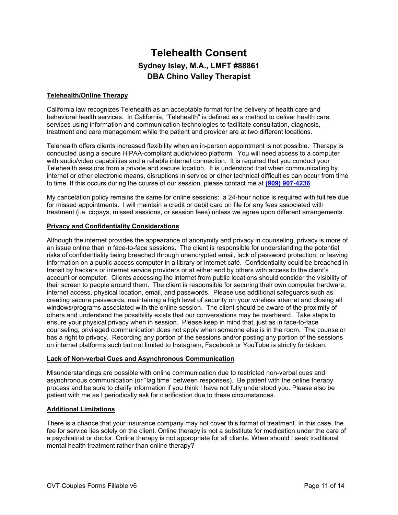# **Telehealth Consent Sydney Isley, M.A., LMFT #88861 DBA Chino Valley Therapist**

## **Telehealth/Online Therapy**

California law recognizes Telehealth as an acceptable format for the delivery of health care and behavioral health services. In California, "Telehealth" is defined as a method to deliver health care services using information and communication technologies to facilitate consultation, diagnosis, treatment and care management while the patient and provider are at two different locations.

Telehealth offers clients increased flexibility when an in-person appointment is not possible. Therapy is conducted using a secure HIPAA-compliant audio/video platform. You will need access to a computer with audio/video capabilities and a reliable internet connection. It is required that you conduct your Telehealth sessions from a private and secure location. It is understood that when communicating by internet or other electronic means, disruptions in service or other technical difficulties can occur from time to time. If this occurs during the course of our session, please contact me at **(909) 907-4236**.

My cancelation policy remains the same for online sessions: a 24-hour notice is required with full fee due for missed appointments. I will maintain a credit or debit card on file for any fees associated with treatment (i.e. copays, missed sessions, or session fees) unless we agree upon different arrangements.

### **Privacy and Confidentiality Considerations**

Although the internet provides the appearance of anonymity and privacy in counseling, privacy is more of an issue online than in face-to-face sessions. The client is responsible for understanding the potential risks of confidentiality being breached through unencrypted email, lack of password protection, or leaving information on a public access computer in a library or internet café. Confidentiality could be breached in transit by hackers or internet service providers or at either end by others with access to the client's account or computer. Clients accessing the internet from public locations should consider the visibility of their screen to people around them. The client is responsible for securing their own computer hardware, internet access, physical location, email, and passwords. Please use additional safeguards such as creating secure passwords, maintaining a high level of security on your wireless internet and closing all windows/programs associated with the online session. The client should be aware of the proximity of others and understand the possibility exists that our conversations may be overheard. Take steps to ensure your physical privacy when in session. Please keep in mind that, just as in face-to-face counseling, privileged communication does not apply when someone else is in the room. The counselor has a right to privacy. Recording any portion of the sessions and/or posting any portion of the sessions on internet platforms such but not limited to Instagram, Facebook or YouTube is strictly forbidden.

### **Lack of Non-verbal Cues and Asynchronous Communication**

Misunderstandings are possible with online communication due to restricted non-verbal cues and asynchronous communication (or "lag time" between responses). Be patient with the online therapy process and be sure to clarify information if you think I have not fully understood you. Please also be patient with me as I periodically ask for clarification due to these circumstances.

### **Additional Limitations**

There is a chance that your insurance company may not cover this format of treatment. In this case, the fee for service lies solely on the client. Online therapy is not a substitute for medication under the care of a psychiatrist or doctor. Online therapy is not appropriate for all clients. When should I seek traditional mental health treatment rather than online therapy?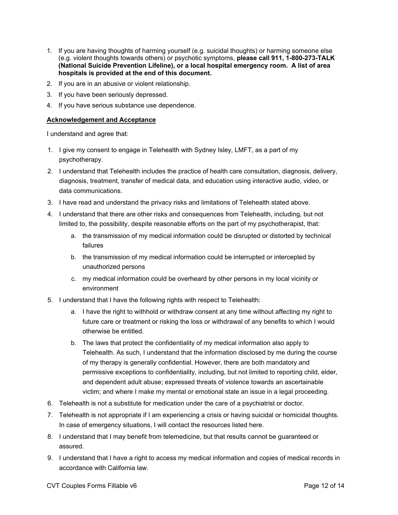- 1. If you are having thoughts of harming yourself (e.g. suicidal thoughts) or harming someone else (e.g. violent thoughts towards others) or psychotic symptoms, **please call 911, 1-800-273-TALK (National Suicide Prevention Lifeline), or a local hospital emergency room. A list of area hospitals is provided at the end of this document.**
- 2. If you are in an abusive or violent relationship.
- 3. If you have been seriously depressed.
- 4. If you have serious substance use dependence.

## **Acknowledgement and Acceptance**

I understand and agree that:

- 1. I give my consent to engage in Telehealth with Sydney Isley, LMFT, as a part of my psychotherapy.
- 2. I understand that Telehealth includes the practice of health care consultation, diagnosis, delivery, diagnosis, treatment, transfer of medical data, and education using interactive audio, video, or data communications.
- 3. I have read and understand the privacy risks and limitations of Telehealth stated above.
- 4. I understand that there are other risks and consequences from Telehealth, including, but not limited to, the possibility, despite reasonable efforts on the part of my psychotherapist, that:
	- a. the transmission of my medical information could be disrupted or distorted by technical failures
	- b. the transmission of my medical information could be interrupted or intercepted by unauthorized persons
	- c. my medical information could be overheard by other persons in my local vicinity or environment
- 5. I understand that I have the following rights with respect to Telehealth:
	- a. I have the right to withhold or withdraw consent at any time without affecting my right to future care or treatment or risking the loss or withdrawal of any benefits to which I would otherwise be entitled.
	- b. The laws that protect the confidentiality of my medical information also apply to Telehealth. As such, I understand that the information disclosed by me during the course of my therapy is generally confidential. However, there are both mandatory and permissive exceptions to confidentiality, including, but not limited to reporting child, elder, and dependent adult abuse; expressed threats of violence towards an ascertainable victim; and where I make my mental or emotional state an issue in a legal proceeding.
- 6. Telehealth is not a substitute for medication under the care of a psychiatrist or doctor.
- 7. Telehealth is not appropriate if I am experiencing a crisis or having suicidal or homicidal thoughts. In case of emergency situations, I will contact the resources listed here.
- 8. I understand that I may benefit from telemedicine, but that results cannot be guaranteed or assured.
- 9. I understand that I have a right to access my medical information and copies of medical records in accordance with California law.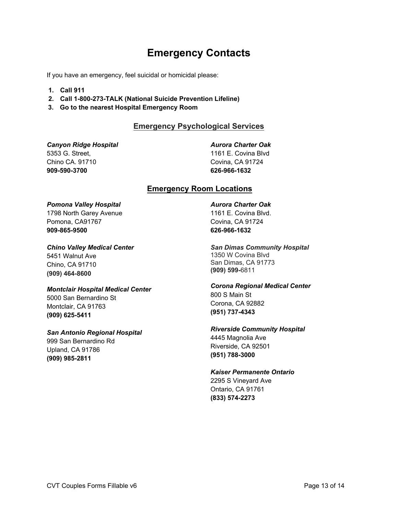# **Emergency Contacts**

If you have an emergency, feel suicidal or homicidal please:

- **1. Call 911**
- **2. Call 1-800-273-TALK (National Suicide Prevention Lifeline)**
- **3. Go to the nearest Hospital Emergency Room**

# **Emergency Psychological Services**

*Canyon Ridge Hospital* 5353 G. Street, Chino CA. 91710 **909-590-3700**

*Aurora Charter Oak* 

1161 E. Covina Blvd Covina, CA 91724 **626-966-1632**

# **Emergency Room Locations**

## *Pomona Valley Hospital*

1798 North Garey Avenue Pomona, CA91767 **909-865-9500**

### *Chino Valley Medical Center*

5451 Walnut Ave Chino, CA 91710 **(909) 464-8600**

### *Montclair Hospital Medical Center*

5000 San Bernardino St Montclair, CA 91763 **(909) 625-5411**

# *San Antonio Regional Hospital*

999 San Bernardino Rd Upland, CA 91786 **(909) 985-2811**

## *Aurora Charter Oak*  1161 E. Covina Blvd. Covina, CA 91724 **626-966-1632**

*San Dimas Community Hospital*  1350 W Covina Blvd San Dimas, CA 91773 **(909) 599-**6811

*Corona Regional Medical Center*  800 S Main St Corona, CA 92882 **(951) 737-4343**

# *Riverside Community Hospital*  4445 Magnolia Ave

Riverside, CA 92501 **(951) 788-3000**

# *Kaiser Permanente Ontario*

2295 S Vineyard Ave Ontario, CA 91761 **(833) 574-2273**